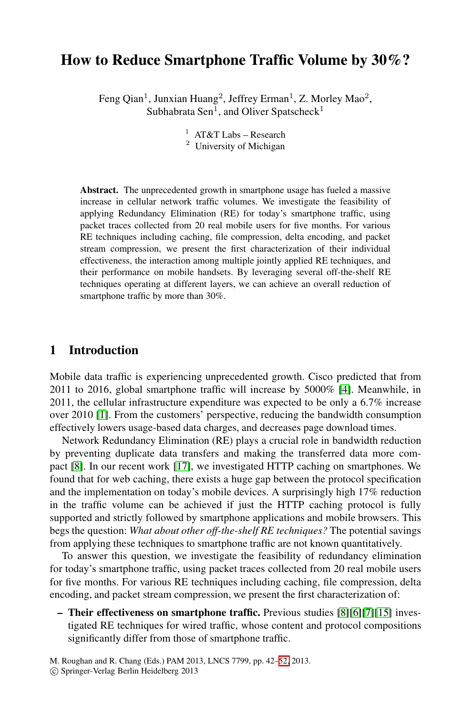# **How to Reduce Smartphone Traffic Volume by 30%?**

Feng Qian<sup>1</sup>, Junxian Huang<sup>2</sup>, Jeffrey Erman<sup>1</sup>, Z. Morley Mao<sup>2</sup>, Subhabrata Sen<sup>1</sup>, and Oliver Spatscheck<sup>1</sup>

> <sup>1</sup> AT&T Labs – Research <sup>2</sup> University of Michigan

**Abstract.** The unprecedented growth in smartphone usage has fueled a massive increase in cellular network traffic volumes. We investigate the feasibility of applying Redundancy Elimination (RE) for today's smartphone traffic, using packet traces collected from 20 real mobile users for five months. For various RE techniques including caching, file compression, delta encoding, and packet stream compression, we present the first characterization of their individual effectiveness, the interaction among multiple jointly applied RE techniques, and their performance on mobile handsets. By leveraging several off-the-shelf RE techniques operating at different layers, we c[an](#page-10-0) achieve an overall reduction of smartphone traffic by more than 30%.

## **1 Introduction**

Mobile d[ata](#page-10-1) traffic is experiencing unprecedented growth. Cisco predicted that from 2011 to 2016, global smartphone traffic will increase by 5000% [4]. Meanwhile, in 2011, the cellular infrastructure expenditure was expected to be only a 6.7% increase over 2010 [1]. From the customers' perspective, reducing the bandwidth consumption effectively lowers usage-based data charges, and decreases page download times.

Network Redundancy Elimination (RE) plays a crucial role in bandwidth reduction by preventing duplicate data transfers and making the transferred data more compact [8]. In our recent work [17], we investigated HTTP caching on smartphones. We found that for web caching, there exists a huge gap between the protocol specification and the implementation on today's mobile devices. A surprisingly high 17% reduction in the traffic volume can be achieved if just the HTTP caching protocol is fully supported and strictly followed by smartphone [app](#page-10-2)[lic](#page-10-3)[ati](#page-10-4)[ons](#page-10-5) and mobile browsers. This begs the question: *What about other off-the-shelf RE techniques?* The potential savings from applying these techniques to smartphone traffic are not known quantitatively.

To answer this question, we i[nve](#page-10-6)stigate the feasibility of redundancy elimination for today's smartphone traffic, using packet traces collected from 20 real mobile users for five months. For various RE techniques including caching, file compression, delta encoding, and packet stream compression, we present the first characterization of:

**– Their effectiveness on smartphone traffic.** Previous studies [8][6][7][15] investigated RE techniques for wired traffic, whose content and protocol compositions significantly differ from those of smartphone traffic.

M. Roughan and R. Chang (Eds.) PAM 2013, LNCS 7799, pp. 42–52, 2013. -c Springer-Verlag Berlin Heidelberg 2013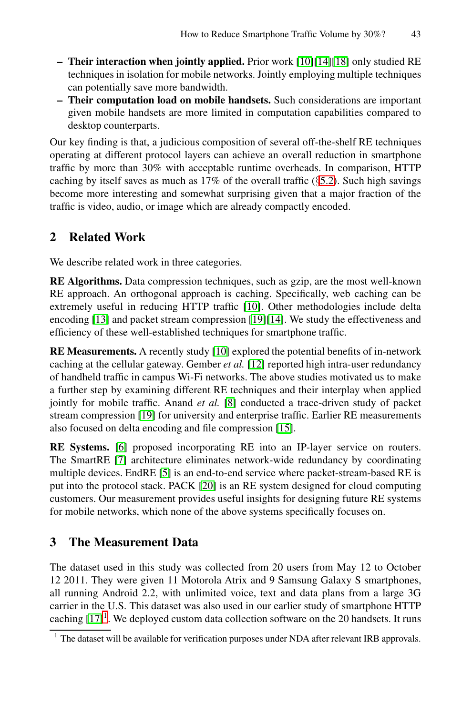- **Their interaction when jointly applied.** Prior work [10][14][18] only studied RE techniques in isolation for mobile netw[orks](#page-4-0). Jointly employing multiple techniques can potentially save more bandwidth.
- **Their computation load on mobile handsets.** Such considerations are important given mobile handsets are more limited in computation capabilities compared to desktop counterparts.

Our key finding is that, a judicious composition of several off-the-shelf RE techniques operating at different protocol layers can achieve an overall reduction in smartphone traffic by more than 30% with acceptable runtime overheads. In comparison, HTTP caching by itself saves as much as  $17\%$  of the overall traffic (§5.2). Such high savings become more interesting and somewhat surprising given that a major fraction of the traffic is video, audio, or i[mag](#page-10-7)e which are already compactly encoded.

## **2 Related Work**

We describe relate[d](#page-10-7) [w](#page-10-7)ork i[n th](#page-10-8)ree categories.

**RE Algorithms.** Data compression techniques, such as gzip, are the most well-known RE approach. An orthogonal approach is caching. Specifically, web caching can be extremely useful in [red](#page-10-2)ucing HTTP traffic [10]. Other methodologies include delta e[nco](#page-10-9)ding [13] and packet stream compression [19][14]. We study the effectiveness and efficiency of these well-establish[ed](#page-10-5) [te](#page-10-5)chniques for smartphone traffic.

<span id="page-1-0"></span>**RE Measurements.** A recently study [10] explored the potential benefits of in-network caching at the cellular gateway. Gember *et al.* [12] reported high intra-user redundancy of han[dh](#page-10-10)eld traffic in campus Wi-Fi networks. The above studies motivated us to make a further step b[y ex](#page-10-11)amining different RE techniques and their interplay when applied jointly for mobile traffic. Anand *et al.* [8] conducted a trace-driven study of packet stream compression [19] for university and enterprise traffic. Earlier RE measurements also focused on delta encoding and file compression [15].

**RE Systems.** [6] proposed incorporating RE into an IP-layer service on routers. The SmartRE [7] architecture eliminates network-wide redundancy by coordinating multiple devices. EndRE [5] is an end-to-end service where packet-stream-based RE is put into the protocol stack. PACK [20] is an RE system designed for cloud computing customers. Our measurement provides useful insights for designing future RE systems for mobile networks, which none of the above systems specifically focuses on.

## **3 The Measurement Data**

The dataset used in this study was collected from 20 users from May 12 to October 12 2011. They were given 11 Motorola Atrix and 9 Samsung Galaxy S smartphones, all running Android 2.2, with unlimited voice, text and data plans from a large 3G carrier in the U.S. This dataset was also used in our earlier study of smartphone HTTP caching  $[17]$ <sup>1</sup>. We deployed custom data collection software on the 20 handsets. It runs

<sup>&</sup>lt;sup>1</sup> The dataset will be available for verification purposes under NDA after relevant IRB approvals.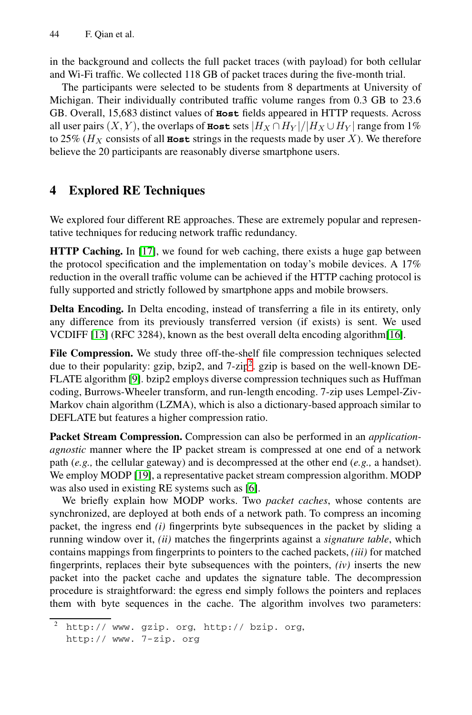<span id="page-2-1"></span>in the background and collects the full packet traces (with payload) for both cellular and Wi-Fi traffic. We collected 118 GB of packet traces during the five-month trial.

The participants were selected to be students from 8 departments at University of Michigan. Their individually contributed traffic volume ranges from 0.3 GB to 23.6 GB. Overall, 15,683 distinct values of **Host** fields appeared in HTTP requests. Across all user pairs  $(X, Y)$ , the overlaps of **Host** sets  $|H_X \cap H_Y|/|H_X \cup H_Y|$  range from 1% to 25% ( $H_X$  consists of all **Host** strings in the requests made by user X). We therefore b[elie](#page-10-1)ve the 20 participants are reasonably diverse smartphone users.

## **4 Explored RE Techniques**

We explored four different RE approaches. These are extremely popular and representative techniques for reducing network traffic redundancy.

**HTTP Caching.** In [17], we found for web caching, there exists a huge gap between the protocol specification [an](#page-2-0)d the implementation on today's mobile devices. A 17% [re](#page-10-12)duction in the overall traffic volume can be achieved if the HTTP caching protocol is fully supported and strictly followed by smartphone apps and mobile browsers.

**Delta Encoding.** In Delta encoding, instead of transferring a file in its entirety, only any difference from its previously transferred version (if exists) is sent. We used VCDIFF [13] (RFC 3284), known as the best overall delta encoding algorithm[16].

**File Compression.** We study three off-the-shelf file compression techniques selected due to their popularity: gzip, bzip2, and  $7$ -zip<sup>2</sup>. gzip is based on the well-known DE-[FLA](#page-10-9)TE algorithm [9]. bzip2 employs diverse compression techniques such as Huffman coding, Burrows-Wheeler [tra](#page-10-3)nsform, and run-length encoding. 7-zip uses Lempel-Ziv-Markov chain algorithm (LZMA), which is also a dictionary-based approach similar to DEFLATE but features a higher compression ratio.

<span id="page-2-0"></span>**Packet Stream Compression.** Compression can also be performed in an *applicationagnostic* manner where the IP packet stream is compressed at one end of a network path (*e.g.,* the cellular gateway) and is decompressed at the other end (*e.g.,* a handset). We employ MODP [19], a representative packet stream compression algorithm. MODP was also used in existing RE systems such as [6].

We briefly explain how MODP works. Two *packet caches*, whose contents are synchronized, are deployed at both ends of a network path. To compress an incoming [packet, the ing](http://www.gzip.org)ress end *(i)* [fingerprints](http://bzip.org) byte subsequences in the packet by sliding a [running window](http://www.7-zip.org) over it, *(ii)* matches the fingerprints against a *signature table*, which contains mappings from fingerprints to pointers to the cached packets, *(iii)* for matched fingerprints, replaces their byte subsequences with the pointers, *(iv)* inserts the new packet into the packet cache and updates the signature table. The decompression procedure is straightforward: the egress end simply follows the pointers and replaces them with byte sequences in the cache. The algorithm involves two parameters:

http:// www. gzip. org, http:// bzip. org, http:// www. 7-zip. org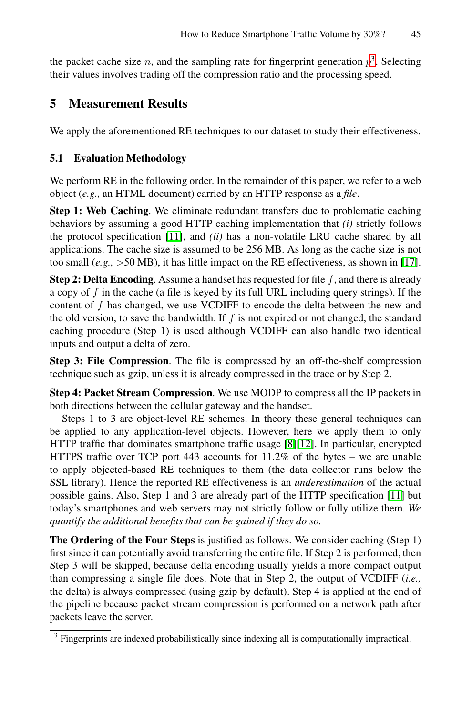<span id="page-3-0"></span>the packet cache size n, and the sampling rate for fingerprint generation  $p<sup>3</sup>$ . Selecting their values involves trading off the compression ratio and the processing speed.

## **5 Measurement Results**

We app[ly th](#page-10-13)e aforementioned RE techniques to our dataset to study their effectiveness.

### **5.1 Evaluation Methodology**

We perform RE in the following order. In the remainder of this paper, we refer to a web object (*e.g.,* an HTML document) carried by an HTTP response as a *file*.

**Step 1: Web Caching**. We eliminate redundant transfers due to problematic caching behaviors by assuming a good HTTP caching implementation that *(i)* strictly follows the protocol specification [11], and *(ii)* has a non-volatile LRU cache shared by all applications. The cache size is assumed to be 256 MB. As long as the cache size is not too small  $(e.g., >50 \text{ MB})$ , it has little impact on the RE effectiveness, as shown in [17].

**Step 2: Delta Encoding**. Assume a handset has requested for file  $f$ , and there is already a copy of f in the cache (a file is keyed by its full URL including query strings). If the content of f has changed, we use VCDIFF to encode the delta between the new and the old version, to save the bandwidth. If  $f$  is not expired or not changed, the standard caching procedure (Step 1) is used although VCDIFF can also handle two identical inputs and output a delta of zero.

**Step 3: File Compression**. The file is compressed by an off-the-shelf compression technique such as gzip, unless it is already compressed in the trace or by Step 2.

**Step 4: Packet Stream Compression**. We use MODP to c[omp](#page-10-13)ress all the IP packets in both directions between the cellular gateway and the handset.

Steps 1 to 3 are object-level RE schemes. In theory these general techniques can be applied to any application-level objects. However, here we apply them to only HTTP traffic that dominates smartphone traffic usage [8][12]. In particular, encrypted HTTPS traffic over TCP port 443 accounts for 11.2% of the bytes – we are unable to apply objected-based RE techniques to them (the data collector runs below the SSL library). Hence the reported RE effectiveness is an *underestimation* of the actual possible gains. Also, Step 1 and 3 are already part of the HTTP specification [11] but today's smartphones and web servers may not strictly follow or fully utilize them. *We quantify the additional benefits that can be gained if they do so.*

**The Ordering of the Four Steps** is justified as follows. We consider caching (Step 1) first since it can potentially avoid transferring the entire file. If Step 2 is performed, then Step 3 will be skipped, because delta encoding usually yields a more compact output than compressing a single file does. Note that in Step 2, the output of VCDIFF (*i.e.,* the delta) is always compressed (using gzip by default). Step 4 is applied at the end of the pipeline because packet stream compression is performed on a network path after packets leave the server.

<sup>&</sup>lt;sup>3</sup> Fingerprints are indexed probabilistically since indexing all is computationally impractical.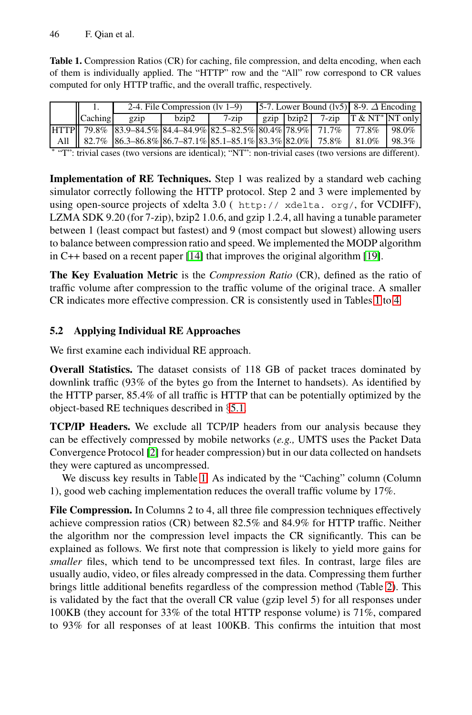<span id="page-4-1"></span>Table 1. Compression Ratios (CR) for caching, file compression, and delta encoding, when each of them is individually applied. The "HTTP" row and the "All" row correspond to CR values computed for only HTTP traffic, and the overall traffic, respectively.

<span id="page-4-0"></span>

|                                                                                                          |                                                                                            | 2-4. File Compression $(1v 1-9)$ |          |  |  | 5-7. Lower Bound (lv5) 8-9. $\Delta$ Encoding |                                              |          |
|----------------------------------------------------------------------------------------------------------|--------------------------------------------------------------------------------------------|----------------------------------|----------|--|--|-----------------------------------------------|----------------------------------------------|----------|
| $\Box$ Caching                                                                                           | gzip                                                                                       | $b$ zip2                         | $7$ -zin |  |  |                                               | gzip   bzip2   7-zip   $T \& N T^* N T$ only |          |
|                                                                                                          | HTTP   79.8% 83.9–84.5% 84.4–84.9% 82.5–82.5% 80.4% 78.9% 71.7% 77.8%                      |                                  |          |  |  |                                               |                                              | $-98.0%$ |
|                                                                                                          | All    82.7%    86.3–86.8%    86.7–87.1%    85.1–85.1%    83.3%    82.0%    75.8%    81.0% |                                  |          |  |  |                                               |                                              | 98.3%    |
| * "T": trivial cases (two versions are identical); "NT": non-trivial cases (two versions are different). |                                                                                            |                                  |          |  |  |                                               |                                              |          |

**Implementation of RE Techniques.** Step 1 was realized by a standard web caching simulator correctly following the HTTP protocol. Step 2 and 3 were implemented by using open-source projects of xdelta 3.0 ( http:// [xde](#page-4-1)l[ta](#page-7-0). org/, for VCDIFF), LZMA SDK 9.20 (for 7-zip), bzip2 1.0.6, and gzip 1.2.4, all having a tunable parameter between 1 (least compact but fastest) and 9 (most compact but slowest) allowing users to balance between compression ratio and speed. We implemented the MODP algorithm in C++ based on a recent paper [14] that improves the original algorithm [19].

**The Key Evaluation Metric** is the *Compression Ratio* (CR), defined as the ratio of traffic volume after compression to the traffic volume of the original trace. A smaller CR indicates more eff[ectiv](#page-3-0)e compression. CR is consistently used in Tables 1 to 4.

### **5.2 Applying Individual RE Approaches**

We [fir](#page-9-0)st examine each individual RE approach.

**Overall Statistics.** The dataset consists of 118 GB of packet traces dominated by downlink traffi[c \(](#page-4-1)93% of the bytes go from the Internet to handsets). As identified by the HTTP parser, 85.4% of all traffic is HTTP that can be potentially optimized by the object-based RE techniques described in §5.1.

**TCP/IP Headers.** We exclude all TCP/IP headers from our analysis because they can be effectively compressed by mobile networks (*e.g.,* UMTS uses the Packet Data Convergence Protocol [2] for header compression) but in our data collected on handsets they were captured as uncompressed.

We discuss key results in Table 1. As indicated by the "Caching" column (Column 1), good web caching implementation reduces the overall t[raf](#page-5-0)fic volume by 17%.

**File Compression.** In Columns 2 to 4, all three file compression techniques effectively achieve compression ratios (CR) between 82.5% and 84.9% for HTTP traffic. Neither the algorithm nor the compression level impacts the CR significantly. This can be explained as follows. We first note that compression is likely to yield more gains for *smaller* files, which tend to be uncompressed text files. In contrast, large files are usually audio, video, or files already compressed in the data. Compressing them further brings little additional benefits regardless of the compression method (Table 2). This is validated by the fact that the overall CR value (gzip level 5) for all responses under 100KB (they account for 33% of the total HTTP response volume) is 71%, compared to 93% for all responses of at least 100KB. This confirms the intuition that most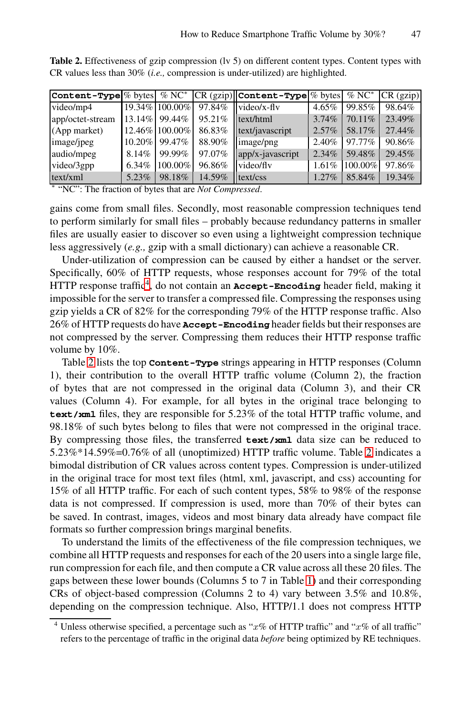<span id="page-5-0"></span>

| Table 2. Effectiveness of gzip compression (lv 5) on different content types. Content types with |  |  |
|--------------------------------------------------------------------------------------------------|--|--|
| CR values less than $30\%$ ( <i>i.e.</i> , compression is under-utilized) are highlighted.       |  |  |

|                                                                                                                                                                                                                                                                                                                                                     |           |                |        | <b>Content-Type</b> $\%$ bytes $\%$ NC <sup>*</sup> CR (gzip) <b>Content-Type</b> $\%$ bytes |          | $\%$ NC <sup>*</sup> | $CR$ (gzip) |
|-----------------------------------------------------------------------------------------------------------------------------------------------------------------------------------------------------------------------------------------------------------------------------------------------------------------------------------------------------|-----------|----------------|--------|----------------------------------------------------------------------------------------------|----------|----------------------|-------------|
| video/mp4                                                                                                                                                                                                                                                                                                                                           |           | 19.34% 100.00% | 97.84% | $video/x$ -fly                                                                               | $4.65\%$ | 99.85%               | 98.64%      |
| app/octet-stream                                                                                                                                                                                                                                                                                                                                    |           | 13.14% 99.44%  | 95.21% | text/html                                                                                    | 3.74%    | 70.11\%              | 23.49%      |
| (App market)                                                                                                                                                                                                                                                                                                                                        |           | 12.46% 100.00% | 86.83% | text/javascript                                                                              | $2.57\%$ | 58.17%               | 27.44%      |
| image/jpeg                                                                                                                                                                                                                                                                                                                                          | $10.20\%$ | 99.47%         | 88.90% | image/png                                                                                    | 2.40%    | 97.77%               | 90.86%      |
| audio/mpeg                                                                                                                                                                                                                                                                                                                                          | 8.14%     | 99.99%         | 97.07% | app/x-javascript                                                                             | $2.34\%$ | 59.48%               | 29.45%      |
| video/3gpp                                                                                                                                                                                                                                                                                                                                          | $6.34\%$  | 100.00%        | 96.86% | video/fly                                                                                    | 1.61%    | 100.00%              | 97.86%      |
| text/xml                                                                                                                                                                                                                                                                                                                                            | 5.23%     | 98.18%         | 14.59% | text/css                                                                                     | $1.27\%$ | 85.84%               | 19.34%      |
| $*$ $\mathcal{L}$ $\mathcal{L}$ $\mathcal{L}$ $\mathcal{L}$ $\mathcal{L}$ $\mathcal{L}$ $\mathcal{L}$ $\mathcal{L}$ $\mathcal{L}$ $\mathcal{L}$ $\mathcal{L}$ $\mathcal{L}$ $\mathcal{L}$ $\mathcal{L}$ $\mathcal{L}$ $\mathcal{L}$ $\mathcal{L}$ $\mathcal{L}$ $\mathcal{L}$ $\mathcal{L}$ $\mathcal{L}$ $\mathcal{L}$ $\mathcal{L}$ $\mathcal{L}$ |           |                |        |                                                                                              |          |                      |             |

<sup>∗</sup> ["N](#page-5-1)C": The fraction of bytes that are *Not Compressed*.

gains come from small files. Secondly, most reasonable compression techniques tend to perform similarly for small files – probably because redundancy patterns in smaller files are usually easier to discover so even using a lightweight compression technique less aggressively (*e.g.,* gzip with a small dictionary) can achieve a reasonable CR.

Under-utilization of compression can be caused by either a handset or the server. Specifically, 60% of HTTP requests, whose responses account for 79% of the total HTTP response traffic<sup>4</sup>, do not contain an **Accept-Encoding** header field, making it impossible for the server to transfer a compressed file. Compressing the responses using gzip yields a CR of 82% for the corresponding 79% of the HTTP response traffic. Also 26% of HTTP requests do have **Accept-Encoding** header fields but their responses are not compressed by the server. Compressing them reduces their HTTP response traffic volume by 10%.

<span id="page-5-1"></span>Table 2 lists the top **Content-Type** strings appea[rin](#page-5-0)g in HTTP responses (Column 1), their contribution to the overall HTTP traffic volume (Column 2), the fraction of bytes that are not compressed in the original data (Column 3), and their CR values (Column 4). For example, for all bytes in the original trace belonging to **text/xml** files, they are responsible for 5.23% of the total HTTP traffic volume, and 98.18% of such bytes belong to files that were not compressed in the original trace. By compressing those files, the transferred **text/xml** data size can be reduced to 5.23%\*14.59%=0.76% of all (unoptimized) HTTP traffic volume. Table 2 indicates a bimodal distribution of CR values across content types. Compression is under-utilized in the original trace for most text files [\(ht](#page-4-1)ml, xml, javascript, and css) accounting for 15% of all HTTP traffic. For each of such content types, 58% to 98% of the response data is not compressed. If compression is used, more than 70% of their bytes can be saved. In contrast, images, videos and most binary data already have compact file formats so further compression brings marginal benefits.

To understand the limits of the effectiveness of the file compression techniques, we combine all HTTP requests and responses for each of the 20 users into a single large file, run compression for each file, and then compute a CR value across all these 20 files. The gaps between these lower bounds (Columns 5 to 7 in Table 1) and their corresponding CRs of object-based compression (Columns 2 to 4) vary between 3.5% and 10.8%, depending on the compression technique. Also, HTTP/1.1 does not compress HTTP

Unless otherwise specified, a percentage such as " $x\%$  of HTTP traffic" and " $x\%$  of all traffic" refers to the percentage of traffic in the original data *before* being optimized by RE techniques.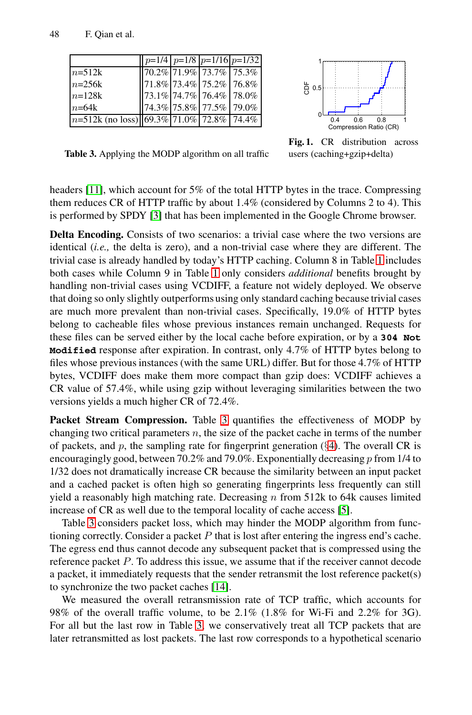<span id="page-6-0"></span>48 F. Qian et al.

|                                                                                            |  |                                                         | $p=1/4$ $p=1/8$ $p=1/16$ $p=1/32$ |                                              |
|--------------------------------------------------------------------------------------------|--|---------------------------------------------------------|-----------------------------------|----------------------------------------------|
| $n=512k$                                                                                   |  | $170.2\%$ 71.9% 73.7% 75.3%                             |                                   |                                              |
| $n=256k$                                                                                   |  |                                                         | 71.8%  73.4%  75.2%  76.8%        | 능 0.5                                        |
| $n=128k$                                                                                   |  | $\left  \frac{1}{23.1\%} \right $ 74.7%   76.4%   78.0% |                                   |                                              |
| $n=64k$                                                                                    |  | $74.3\%$ 75.8% 77.5% 79.0%                              |                                   |                                              |
| $\left n=512k\right $ (no loss) $\left  \left  69.3\% \right  71.0\% \right  72.8\%$ 74.4% |  |                                                         |                                   | 0.8<br>0.6<br>0.4<br>Comprocesion Potio (CD) |



**Table 3.** Applying the MODP algorithm on all traffic

**Fig. 1.** CR distribution across [use](#page-4-1)rs (caching+gzip+delta)

headers [11], which account for 5% of the total HTTP bytes in the trace. Compressing them reduces CR of HTTP traffic by about 1.4% (considered by Columns 2 to 4). This is performed by SPDY [3] that has been implemented in the Google Chrome browser.

**Delta Encoding.** Consists of two scenarios: a trivial case where the two versions are identical (*i.e.,* the delta is zero), and a non-trivial case where they are different. The trivial case is already handled by today's HTTP caching. Column 8 in Table 1 includes both cases while Column 9 in Table 1 only considers *additional* benefits brought by handling non-trivial cases using VCDIFF, a feature not widely deployed. We observe that doing so only slightly outperforms using only standard caching because trivial cases are much more prevalent than non-trivial cases. Specifically, 19.0% of HTTP bytes belong to cacheabl[e fi](#page-6-0)les whose previous instances remain unchanged. Requests for these files can be served either by the local cache before expiration, or by a **304 Not Modified** response after expiration. In cont[ra](#page-2-1)st, only 4.7% of HTTP bytes belong to files whose previous instances (with the same URL) differ. But for those 4.7% of HTTP bytes, VCDIFF does make them more compact than gzip does: VCDIFF achieves a CR value of 57.4%, while using gzip without leveraging similarities between the two versions yields a much higher CR of 72.4%.

Packet Stream Compression. Table 3 quan[tifi](#page-10-10)es the effectiveness of MODP by changing two critical parameters  $n$ , the size of the packet cache in terms of the number of packets, and p, the sampling rate for fingerprint generation  $(\S 4)$ . The overall CR is encouragingly good, between 70.2% and 79.0%. Exponentially decreasing p from 1/4 to 1/32 does not dramatically increase CR because the similarity between an input packet and a cached pac[ket](#page-10-14) is often high so generating fingerprints less frequently can still yield a reasonably high matching rate. Decreasing  $n$  from 512k to 64k causes limited increase of CR as well due to the temporal locality of cache access [5].

Table 3 co[nsi](#page-6-0)ders packet loss, which may hinder the MODP algorithm from functioning correctly. Consider a packet  $P$  that is lost after entering the ingress end's cache. The egress end thus cannot decode any subsequent packet that is compressed using the reference packet P. To address this issue, we assume that if the receiver cannot decode a packet, it immediately requests that the sender retransmit the lost reference packet(s) to synchronize the two packet caches [14].

We measured the overall retransmission rate of TCP traffic, which accounts for 98% of the overall traffic volume, to be 2.1% (1.8% for Wi-Fi and 2.2% for 3G). For all but the last row in Table 3, we conservatively treat all TCP packets that are later retransmitted as lost packets. The last row corresponds to a hypothetical scenario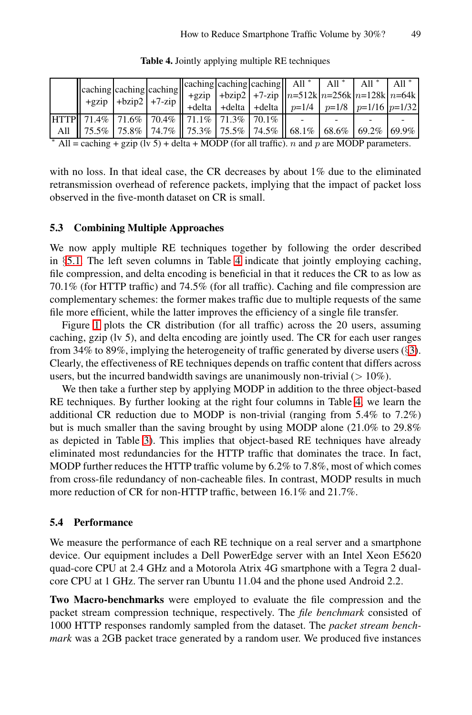|  |  |  | $\vert$ caching caching caching caching caching caching    All *   All *   All *   All *   All *                                                                                                                                                                                                                                                                                                                              |  |  |
|--|--|--|-------------------------------------------------------------------------------------------------------------------------------------------------------------------------------------------------------------------------------------------------------------------------------------------------------------------------------------------------------------------------------------------------------------------------------|--|--|
|  |  |  |                                                                                                                                                                                                                                                                                                                                                                                                                               |  |  |
|  |  |  | $\begin{vmatrix} \text{acanning} \\ +\text{gzip} \\ +\text{bzip2} \end{vmatrix} + \begin{vmatrix} \text{acning} \\ +\text{bzip2} \\ +\text{delta} \end{vmatrix} + \begin{vmatrix} \text{+bzip2} \\ +\text{bzip2} \\ +\text{delta} \end{vmatrix} + \begin{vmatrix} \text{+7-zip} \\ +\text{delta} \end{vmatrix} + \begin{vmatrix} n=512k}{p=1/8} \begin{vmatrix} n=256k}{p=1/16} \begin{vmatrix} n=64k\\ p=1/16 \end{vmatrix}$ |  |  |
|  |  |  |                                                                                                                                                                                                                                                                                                                                                                                                                               |  |  |
|  |  |  | All    75.5%   75.8%   74.7%    75.3%   75.5%   74.5%    68.1%   68.6%   69.2%   69.9%                                                                                                                                                                                                                                                                                                                                        |  |  |
|  |  |  | $*$ All $=$ caching $+$ gzin ( $\frac{1}{2}$ , 5) $+$ delta $+$ MODD (for all traffic) $\frac{1}{2}$ and $\frac{1}{2}$ are MODD parameters                                                                                                                                                                                                                                                                                    |  |  |

<span id="page-7-0"></span>**Table 4.** Jointly applying multiple RE techniques

All = caching + gzip (lv 5) + delta + MODP (for all traffic). *n* and *p* are MODP parameters.

with no loss. In that id[ea](#page-7-0)l case, the CR decreases by about 1% due to the eliminated retransmission overhead of reference packets, implying that the impact of packet loss observed in the five-month dataset on CR is small.

### **5.3 Combining Multiple Approaches**

We now apply multiple RE techniques together by followin[g](#page-1-0) the order described in §5.1. The left seven columns in Table 4 indicate that jointly employing caching, file compression, and delta encoding is beneficial in that it reduces the CR to as low as 70.1% (for HTTP traffic) and 74.5% (for all traffic). Caching and file compression are complementary schemes: the former makes traffic [due](#page-7-0) to multiple requests of the same file more efficient, while the latter improves the efficiency of a single file transfer.

Figure 1 plots the CR distribution (for all traffic) across the 20 users, assuming c[ach](#page-6-0)ing, gzip (lv 5), and delta encoding are jointly used. The CR for each user ranges from 34% to 89%, implying the heterogeneity of traffic generated by diverse users (§3). Clearly, the effectiveness of RE techniques depends on traffic content that differs across users, but the incurred bandwidth savings are unanimously non-trivial  $(>10\%)$ .

We then take a further step by applying MODP in addition to the three object-based RE techniques. By further looking at the right four columns in Table 4, we learn the additional CR reduction due to MODP is non-trivial (ranging from 5.4% to 7.2%) but is much smaller than the saving brought by using MODP alone (21.0% to 29.8% as depicted in Table 3). This implies that object-based RE techniques have already eliminated most redundancies for the HTTP traffic that dominates the trace. In fact, MODP further reduces the HTTP traffic volume by 6.2% to 7.8%, most of which comes from cross-file redundancy of non-cacheable files. In contrast, MODP results in much more reduction of CR for non-HTTP traffic, between 16.1% and 21.7%.

### **5.4 Performance**

We measure the performance of each RE technique on a real server and a smartphone device. Our equipment includes a Dell PowerEdge server with an Intel Xeon E5620 quad-core CPU at 2.4 GHz and a Motorola Atrix 4G smartphone with a Tegra 2 dualcore CPU at 1 GHz. The server ran Ubuntu 11.04 and the phone used Android 2.2.

**Two Macro-benchmarks** were employed to evaluate the file compression and the packet stream compression technique, respectively. The *file benchmark* consisted of 1000 HTTP responses randomly sampled from the dataset. The *packet stream benchmark* was a 2GB packet trace generated by a random user. We produced five instances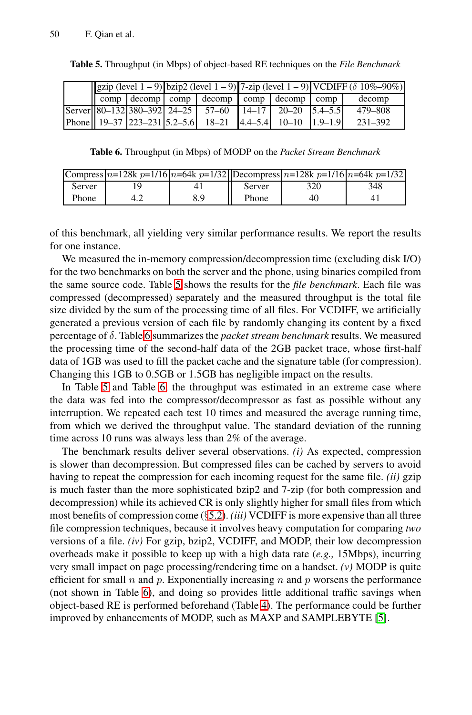<span id="page-8-1"></span><span id="page-8-0"></span>**Table 5.** Throughput (in Mbps) of object-based RE techniques on the *File Benchmark*

| $\left  \frac{\text{gzip (level 1 - 9)}}{\text{big (level 1 - 9)}} \right $ 7-zip (level 1 – 9) VCDIFF ( $\delta$ 10%–90%) |  |  |                                                                                                |  |  |         |
|----------------------------------------------------------------------------------------------------------------------------|--|--|------------------------------------------------------------------------------------------------|--|--|---------|
|                                                                                                                            |  |  | $\log$ comp $\sec$ comp $\sec$ comp $\sec$ comp $\sec$ comp $\sec$                             |  |  | decomp  |
|                                                                                                                            |  |  | $\text{Server} \  80 - 132   380 - 392   24 - 25   57 - 60   14 - 17   20 - 20   5.4 - 5.5 \}$ |  |  | 479–808 |
|                                                                                                                            |  |  | Phone    19–37   223–231   5.2–5.6    18–21   4.4–5.4    10–10   1.9–1.9                       |  |  | 231-392 |

**Table 6.** Throughput (in Mbps) of MODP on the *Packet Stream Benchmark*

| 348<br>Server<br>320<br>Server | Compress $n=128k p=1/16(n=64k p=1/32)$ Decompress $n=128k p=1/16(n=64k p=1/32)$ |
|--------------------------------|---------------------------------------------------------------------------------|
|                                |                                                                                 |
| Phone<br>Phone<br>8.9<br>40    |                                                                                 |

of [th](#page-8-1)is benchmark, all yielding very similar performance results. We report the results for one instance.

We measured the in-memory compression/decompression time (excluding disk I/O) for the two benchmarks on both the server and the phone, using binaries compiled from the sa[m](#page-8-1)e source code. Table 5 shows the results for the *file benchmark*. Each file was compressed (decompressed) separately and the measured throughput is the total file size divided by the sum of the processing time of all files. For VCDIFF, we artificially generated a previous version of each file by randomly changing its content by a fixed percentage of δ. Table 6 summarizes the *packet stream benchmark* results. We measured the processing time of the second-half data of the 2GB packet trace, whose first-half data of 1GB was used to fill the packet cache and the signature table (for compression). Changing this 1GB to 0.5GB or 1.5GB has negligible impact on the results.

In Table 5 and Table 6, the throughput was estimated in an extreme case where the data was fed into the compressor/decompressor as fast as possible without any interruption. We [repe](#page-4-0)ated each test 10 times and measured the average running time, from which we derived the throughput value. The standard deviation of the running time across 10 runs was always less than 2% of the average.

The benchmark results deliver several observations. *(i)* As expected, compression is slower than decompression. But compressed files can be cached by servers to avoid having to repeat the compression for each incoming request for the same file. *(ii)* gzip is [m](#page-8-1)uch faster than the more sophisticated bzip2 and 7-zip (for both compression and decompression) while its achi[ev](#page-7-0)ed CR is only slightly higher for small files from which most benefits of compression come (§5.2). *(iii)* VCDIFF i[s m](#page-10-10)ore expensive than all three file compression techniques, because it involves heavy computation for comparing *two* versions of a file. *(iv)* For gzip, bzip2, VCDIFF, and MODP, their low decompression overheads make it possible to keep up with a high data rate (*e.g.,* 15Mbps), incurring very small impact on page processing/rendering time on a handset. *(v)* MODP is quite efficient for small  $n$  and  $p$ . Exponentially increasing  $n$  and  $p$  worsens the performance (not shown in Table 6), and doing so provides little additional traffic savings when object-based RE is performed beforehand (Table 4). The performance could be further improved by enhancements of MODP, such as MAXP and SAMPLEBYTE [5].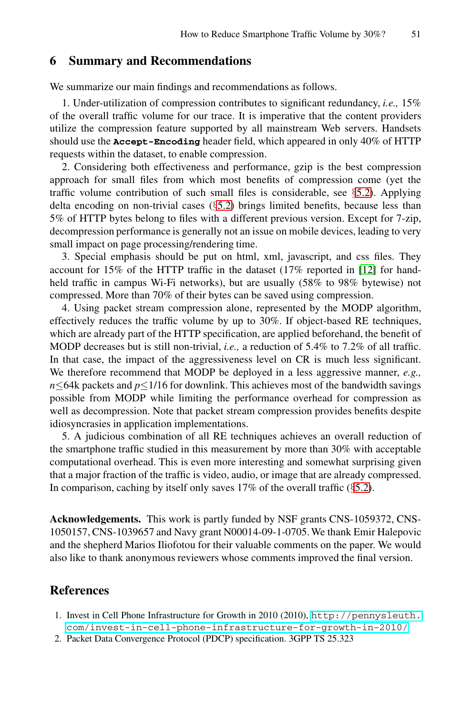## **6 Summary and Recommendations**

We summarize our main findings and recommendat[ions](#page-4-0) as follows.

1. Under-utilizat[ion](#page-4-0) of compression contributes to significant redundancy, *i.e.,* 15% of the overall traffic volume for our trace. It is imperative that the content providers utilize the compression feature supported by all mainstream Web servers. Handsets should use the **Accept-Encoding** header field, which appeared in only 40% of HTTP requests within the dataset, to enable compression.

2. Considering both effectiveness and performa[nce,](#page-10-8) gzip is the best compression approach for small files from which most benefits of compression come (yet the traffic volume contribution of such small files is considerable, see §5.2). Applying delta encoding on non-trivial cases (§5.2) brings limited benefits, because less than 5% of HTTP bytes belong to files with a different previous version. Except for 7-zip, decompression performance is generally not an issue on mobile devices, leading to very small impact on page processing/rendering time.

3. Special emphasis should be put on html, xml, javascript, and css files. They account for 15% of the HTTP traffic in the dataset (17% reported in [12] for handheld traffic in campus Wi-Fi networks), but are usually (58% to 98% bytewise) not compressed. More than 70% of their bytes can be saved using compression.

4. Using packet stream compression alone, represented by the MODP algorithm, effectively reduces the traffic volume by up to 30%. If object-based RE techniques, which are already part of the HTTP specification, are applied beforehand, the benefit of MODP decreases but is still non-trivial, *i.e.,* a reduction of 5.4% to 7.2% of all traffic. In that case, the impact of the aggressiveness level on CR is much less significant. We therefore recommend that MODP be deployed in a less aggressive manner, *e.g., n*≤64k packets and *p*≤1/16 for downlink. This achi[eves](#page-4-0) most of the bandwidth savings possible from MODP while limiting the performance overhead for compression as well as decompression. Note that packet stream compression provides benefits despite idiosyncrasies in application implementations.

<span id="page-9-0"></span>5. A judicious combination of all RE techniques achieves an overall reduction of the smartphone traffic studied in this measurement by more than 30% with acceptable computational overhead. This is even more interesting and somewhat surprising given that a major fraction of the traffic is video, audio, or image that are already compressed. In comparison, caching by itself only saves  $17\%$  of the overall traffic ( $\S$ 5.2).

**Acknowledgements.** This work is partl[y funded by NSF grants CN](http://pennysleuth.com/invest-in-cell-phone-infrastructure-for-growth-in-2010/)S-1059372, CNS-[1050157,](http://pennysleuth.com/invest-in-cell-phone-infrastructure-for-growth-in-2010/) [CNS-1039657](http://pennysleuth.com/invest-in-cell-phone-infrastructure-for-growth-in-2010/) [and](http://pennysleuth.com/invest-in-cell-phone-infrastructure-for-growth-in-2010/) [Navy](http://pennysleuth.com/invest-in-cell-phone-infrastructure-for-growth-in-2010/) [grant](http://pennysleuth.com/invest-in-cell-phone-infrastructure-for-growth-in-2010/) [N00014-09-1-0705.](http://pennysleuth.com/invest-in-cell-phone-infrastructure-for-growth-in-2010/) [We](http://pennysleuth.com/invest-in-cell-phone-infrastructure-for-growth-in-2010/) thank Emir Halepovic and the shepherd Marios Iliofotou for their valuable comments on the paper. We would also like to thank anonymous reviewers whose comments improved the final version.

## **References**

- 1. Invest in Cell Phone Infrastructure for Growth in 2010 (2010), http://pennysleuth. com/invest-in-cell-phone-infrastructure-for-growth-in-2010/
- 2. Packet Data Convergence Protocol (PDCP) specification. 3GPP TS 25.323